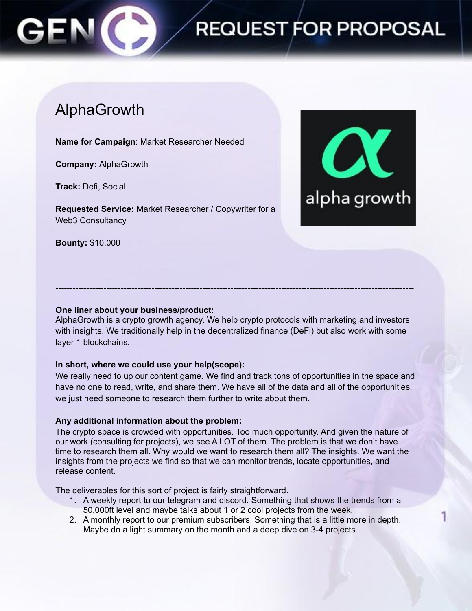# **REQUEST FOR PROPOSAL**

# AlphaGrowth

**Name for Campaign**: Market Researcher Needed

**Company:** AlphaGrowth

**Track:** Defi, Social

**Requested Service:** Market Researcher / Copywriter for a Web3 Consultancy

**Bounty:** \$10,000



## **One liner about your business/product:**

AlphaGrowth is a crypto growth agency. We help crypto protocols with marketing and investors with insights. We traditionally help in the decentralized finance (DeFi) but also work with some layer 1 blockchains.

**-------------------------------------------------------------------------------------------------------------------------------**

#### **In short, where we could use your help(scope):**

We really need to up our content game. We find and track tons of opportunities in the space and have no one to read, write, and share them. We have all of the data and all of the opportunities, we just need someone to research them further to write about them.

#### **Any additional information about the problem:**

The crypto space is crowded with opportunities. Too much opportunity. And given the nature of our work (consulting for projects), we see A LOT of them. The problem is that we don't have time to research them all. Why would we want to research them all? The insights. We want the insights from the projects we find so that we can monitor trends, locate opportunities, and release content.

The deliverables for this sort of project is fairly straightforward.

- 1. A weekly report to our telegram and discord. Something that shows the trends from a 50,000ft level and maybe talks about 1 or 2 cool projects from the week.
- 2. A monthly report to our premium subscribers. Something that is a little more in depth. Maybe do a light summary on the month and a deep dive on 3-4 projects.